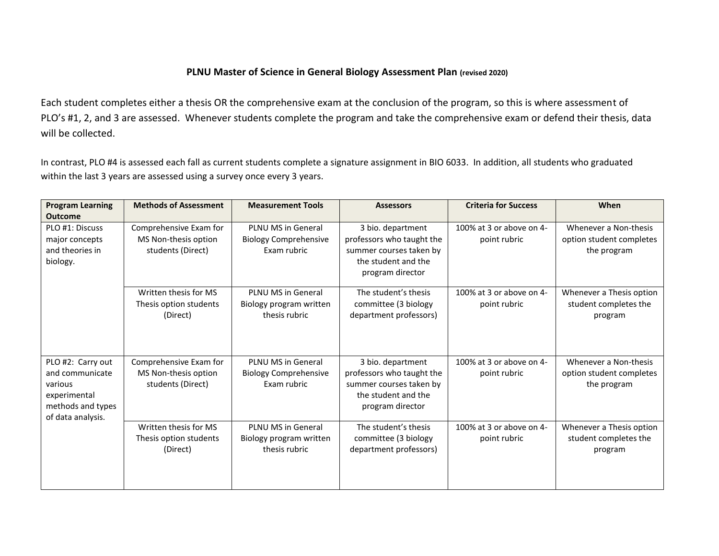## **PLNU Master of Science in General Biology Assessment Plan (revised 2020)**

Each student completes either a thesis OR the comprehensive exam at the conclusion of the program, so this is where assessment of PLO's #1, 2, and 3 are assessed. Whenever students complete the program and take the comprehensive exam or defend their thesis, data will be collected.

In contrast, PLO #4 is assessed each fall as current students complete a signature assignment in BIO 6033. In addition, all students who graduated within the last 3 years are assessed using a survey once every 3 years.

| <b>Program Learning</b>                                                                                   | <b>Methods of Assessment</b>                                        | <b>Measurement Tools</b>                                          | <b>Assessors</b>                                                                                                     | <b>Criteria for Success</b>              | When                                                             |
|-----------------------------------------------------------------------------------------------------------|---------------------------------------------------------------------|-------------------------------------------------------------------|----------------------------------------------------------------------------------------------------------------------|------------------------------------------|------------------------------------------------------------------|
| <b>Outcome</b>                                                                                            |                                                                     |                                                                   |                                                                                                                      |                                          |                                                                  |
| PLO #1: Discuss<br>major concepts<br>and theories in<br>biology.                                          | Comprehensive Exam for<br>MS Non-thesis option<br>students (Direct) | PLNU MS in General<br><b>Biology Comprehensive</b><br>Exam rubric | 3 bio. department<br>professors who taught the<br>summer courses taken by<br>the student and the<br>program director | 100% at 3 or above on 4-<br>point rubric | Whenever a Non-thesis<br>option student completes<br>the program |
|                                                                                                           | Written thesis for MS<br>Thesis option students<br>(Direct)         | PLNU MS in General<br>Biology program written<br>thesis rubric    | The student's thesis<br>committee (3 biology<br>department professors)                                               | 100% at 3 or above on 4-<br>point rubric | Whenever a Thesis option<br>student completes the<br>program     |
| PLO #2: Carry out<br>and communicate<br>various<br>experimental<br>methods and types<br>of data analysis. | Comprehensive Exam for<br>MS Non-thesis option<br>students (Direct) | PLNU MS in General<br><b>Biology Comprehensive</b><br>Exam rubric | 3 bio. department<br>professors who taught the<br>summer courses taken by<br>the student and the<br>program director | 100% at 3 or above on 4-<br>point rubric | Whenever a Non-thesis<br>option student completes<br>the program |
|                                                                                                           | Written thesis for MS<br>Thesis option students<br>(Direct)         | PLNU MS in General<br>Biology program written<br>thesis rubric    | The student's thesis<br>committee (3 biology<br>department professors)                                               | 100% at 3 or above on 4-<br>point rubric | Whenever a Thesis option<br>student completes the<br>program     |